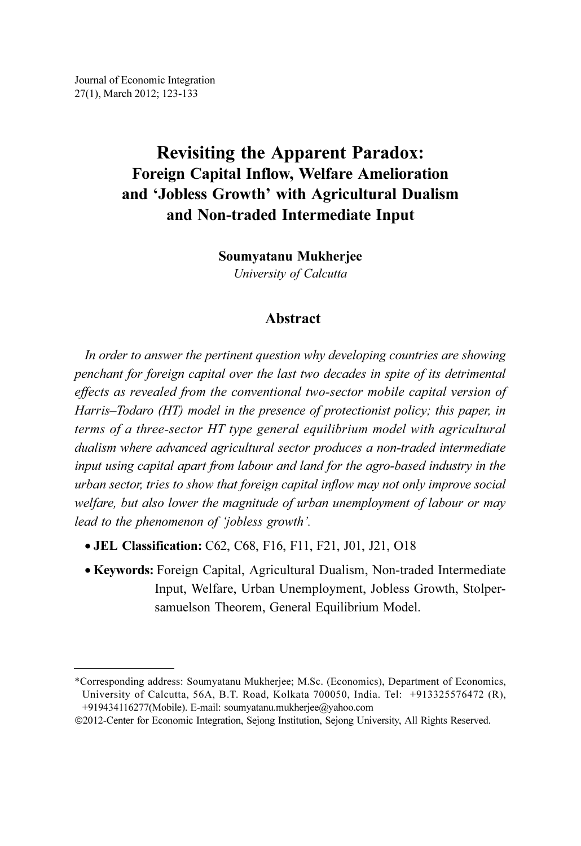# Revisiting the Apparent Paradox: Foreign Capital Inflow, Welfare Amelioration and 'Jobless Growth' with Agricultural Dualism and Non-traded Intermediate Input

Soumyatanu Mukherjee

University of Calcutta

# Abstract

In order to answer the pertinent question why developing countries are showing penchant for foreign capital over the last two decades in spite of its detrimental effects as revealed from the conventional two-sector mobile capital version of Harris–Todaro (HT) model in the presence of protectionist policy; this paper, in terms of a three-sector HT type general equilibrium model with agricultural dualism where advanced agricultural sector produces a non-traded intermediate input using capital apart from labour and land for the agro-based industry in the urban sector, tries to show that foreign capital inflow may not only improve social welfare, but also lower the magnitude of urban unemployment of labour or may lead to the phenomenon of 'jobless growth'.

- JEL Classification: C62, C68, F16, F11, F21, J01, J21, O18
- Keywords: Foreign Capital, Agricultural Dualism, Non-traded Intermediate Input, Welfare, Urban Unemployment, Jobless Growth, Stolpersamuelson Theorem, General Equilibrium Model.

<sup>\*</sup>Corresponding address: Soumyatanu Mukherjee; M.Sc. (Economics), Department of Economics, University of Calcutta, 56A, B.T. Road, Kolkata 700050, India. Tel: +913325576472 (R), +919434116277(Mobile). E-mail: soumyatanu.mukherjee@yahoo.com

<sup>©</sup>2012-Center for Economic Integration, Sejong Institution, Sejong University, All Rights Reserved.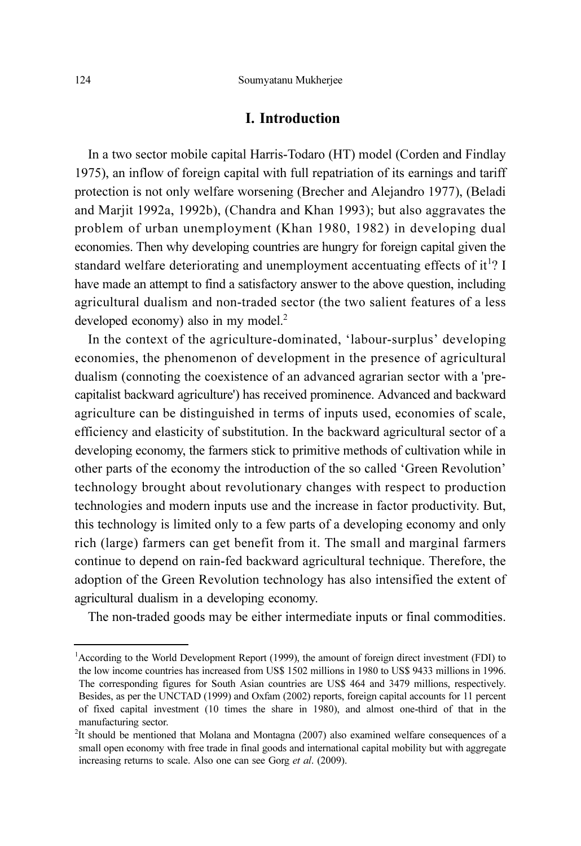### I. Introduction

In a two sector mobile capital Harris-Todaro (HT) model (Corden and Findlay 1975), an inflow of foreign capital with full repatriation of its earnings and tariff protection is not only welfare worsening (Brecher and Alejandro 1977), (Beladi and Marjit 1992a, 1992b), (Chandra and Khan 1993); but also aggravates the problem of urban unemployment (Khan 1980, 1982) in developing dual economies. Then why developing countries are hungry for foreign capital given the standard welfare deteriorating and unemployment accentuating effects of it<sup>1</sup>? I have made an attempt to find a satisfactory answer to the above question, including agricultural dualism and non-traded sector (the two salient features of a less developed economy) also in my model.<sup>2</sup>

In the context of the agriculture-dominated, 'labour-surplus' developing economies, the phenomenon of development in the presence of agricultural dualism (connoting the coexistence of an advanced agrarian sector with a 'precapitalist backward agriculture') has received prominence. Advanced and backward agriculture can be distinguished in terms of inputs used, economies of scale, efficiency and elasticity of substitution. In the backward agricultural sector of a developing economy, the farmers stick to primitive methods of cultivation while in other parts of the economy the introduction of the so called 'Green Revolution' technology brought about revolutionary changes with respect to production technologies and modern inputs use and the increase in factor productivity. But, this technology is limited only to a few parts of a developing economy and only rich (large) farmers can get benefit from it. The small and marginal farmers continue to depend on rain-fed backward agricultural technique. Therefore, the adoption of the Green Revolution technology has also intensified the extent of agricultural dualism in a developing economy.

The non-traded goods may be either intermediate inputs or final commodities.

<sup>&</sup>lt;sup>1</sup> According to the World Development Report (1999), the amount of foreign direct investment (FDI) to the low income countries has increased from US\$ 1502 millions in 1980 to US\$ 9433 millions in 1996. The corresponding figures for South Asian countries are US\$ 464 and 3479 millions, respectively. Besides, as per the UNCTAD (1999) and Oxfam (2002) reports, foreign capital accounts for 11 percent of fixed capital investment (10 times the share in 1980), and almost one-third of that in the manufacturing sector.

<sup>&</sup>lt;sup>2</sup>It should be mentioned that Molana and Montagna (2007) also examined welfare consequences of a small open economy with free trade in final goods and international capital mobility but with aggregate increasing returns to scale. Also one can see Gorg et al. (2009).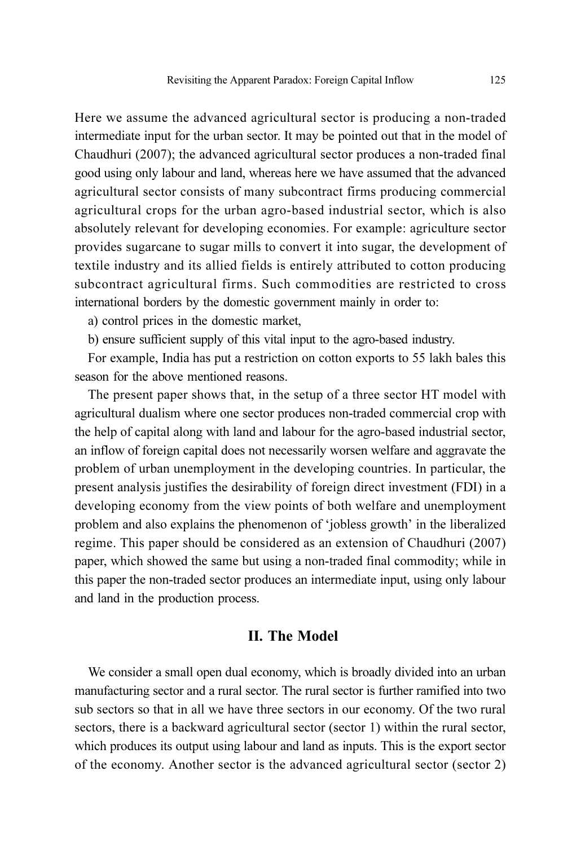Here we assume the advanced agricultural sector is producing a non-traded intermediate input for the urban sector. It may be pointed out that in the model of Chaudhuri (2007); the advanced agricultural sector produces a non-traded final good using only labour and land, whereas here we have assumed that the advanced agricultural sector consists of many subcontract firms producing commercial agricultural crops for the urban agro-based industrial sector, which is also absolutely relevant for developing economies. For example: agriculture sector provides sugarcane to sugar mills to convert it into sugar, the development of textile industry and its allied fields is entirely attributed to cotton producing subcontract agricultural firms. Such commodities are restricted to cross international borders by the domestic government mainly in order to:

a) control prices in the domestic market,

b) ensure sufficient supply of this vital input to the agro-based industry.

For example, India has put a restriction on cotton exports to 55 lakh bales this season for the above mentioned reasons.

The present paper shows that, in the setup of a three sector HT model with agricultural dualism where one sector produces non-traded commercial crop with the help of capital along with land and labour for the agro-based industrial sector, an inflow of foreign capital does not necessarily worsen welfare and aggravate the problem of urban unemployment in the developing countries. In particular, the present analysis justifies the desirability of foreign direct investment (FDI) in a developing economy from the view points of both welfare and unemployment problem and also explains the phenomenon of 'jobless growth' in the liberalized regime. This paper should be considered as an extension of Chaudhuri (2007) paper, which showed the same but using a non-traded final commodity; while in this paper the non-traded sector produces an intermediate input, using only labour and land in the production process.

#### II. The Model

We consider a small open dual economy, which is broadly divided into an urban manufacturing sector and a rural sector. The rural sector is further ramified into two sub sectors so that in all we have three sectors in our economy. Of the two rural sectors, there is a backward agricultural sector (sector 1) within the rural sector, which produces its output using labour and land as inputs. This is the export sector of the economy. Another sector is the advanced agricultural sector (sector 2)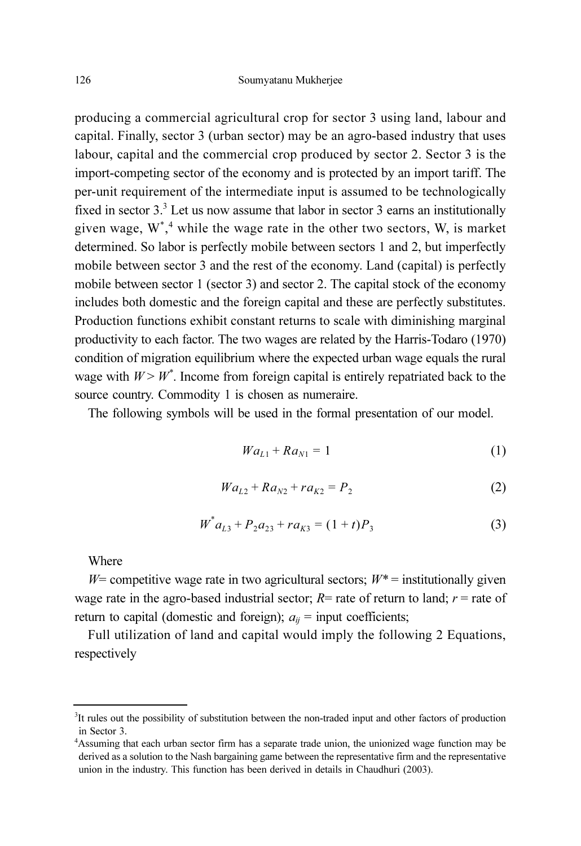producing a commercial agricultural crop for sector 3 using land, labour and capital. Finally, sector 3 (urban sector) may be an agro-based industry that uses labour, capital and the commercial crop produced by sector 2. Sector 3 is the import-competing sector of the economy and is protected by an import tariff. The per-unit requirement of the intermediate input is assumed to be technologically fixed in sector  $3<sup>3</sup>$ . Let us now assume that labor in sector 3 earns an institutionally given wage,  $W^*$ ,<sup>4</sup> while the wage rate in the other two sectors, W, is market determined. So labor is perfectly mobile between sectors 1 and 2, but imperfectly mobile between sector 3 and the rest of the economy. Land (capital) is perfectly mobile between sector 1 (sector 3) and sector 2. The capital stock of the economy includes both domestic and the foreign capital and these are perfectly substitutes. Production functions exhibit constant returns to scale with diminishing marginal productivity to each factor. The two wages are related by the Harris-Todaro (1970) condition of migration equilibrium where the expected urban wage equals the rural wage with  $W > W^*$ . Income from foreign capital is entirely repatriated back to the source country. Commodity 1 is chosen as numeraire.

The following symbols will be used in the formal presentation of our model.

$$
Wa_{L1} + Ra_{N1} = 1 \tag{1}
$$

$$
Wa_{L2} + Ra_{N2} + ra_{K2} = P_2 \tag{2}
$$

$$
W^* a_{L3} + P_2 a_{23} + r a_{K3} = (1+t)P_3 \tag{3}
$$

Where

 $W=$  competitive wage rate in two agricultural sectors;  $W^*$  = institutionally given wage rate in the agro-based industrial sector;  $R$  = rate of return to land;  $r$  = rate of return to capital (domestic and foreign);  $a_{ij}$  = input coefficients;

Full utilization of land and capital would imply the following 2 Equations, respectively

<sup>&</sup>lt;sup>3</sup>It rules out the possibility of substitution between the non-traded input and other factors of production in Sector 3.

<sup>&</sup>lt;sup>4</sup>Assuming that each urban sector firm has a separate trade union, the unionized wage function may be derived as a solution to the Nash bargaining game between the representative firm and the representative union in the industry. This function has been derived in details in Chaudhuri (2003).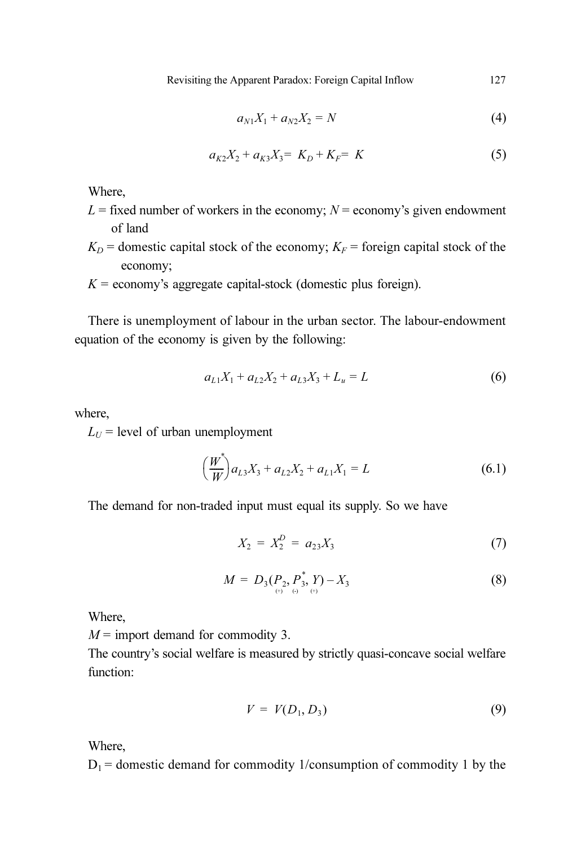Revisiting the Apparent Paradox: Foreign Capital Inflow 127

$$
a_{N1}X_1 + a_{N2}X_2 = N \tag{4}
$$

$$
a_{K2}X_2 + a_{K3}X_3 = K_D + K_F = K \tag{5}
$$

Where,

- $L =$  fixed number of workers in the economy;  $N =$  economy's given endowment of land
- $K_D$  = domestic capital stock of the economy;  $K_F$  = foreign capital stock of the economy;
- $K =$  economy's aggregate capital-stock (domestic plus foreign).

There is unemployment of labour in the urban sector. The labour-endowment equation of the economy is given by the following:

$$
a_{L1}X_1 + a_{L2}X_2 + a_{L3}X_3 + L_u = L \tag{6}
$$

where,

 $L_U$  = level of urban unemployment

$$
\left(\frac{W^*}{W}\right) a_{L3} X_3 + a_{L2} X_2 + a_{L1} X_1 = L \tag{6.1}
$$

The demand for non-traded input must equal its supply. So we have

$$
X_2 = X_2^D = a_{23} X_3 \tag{7}
$$

$$
M = D_3(P_2, P_3^*, Y) - X_3 \tag{8}
$$

Where,

 $M =$  import demand for commodity 3.

The country's social welfare is measured by strictly quasi-concave social welfare function:

$$
V = V(D_1, D_3) \tag{9}
$$

Where,

 $D_1$  = domestic demand for commodity 1/consumption of commodity 1 by the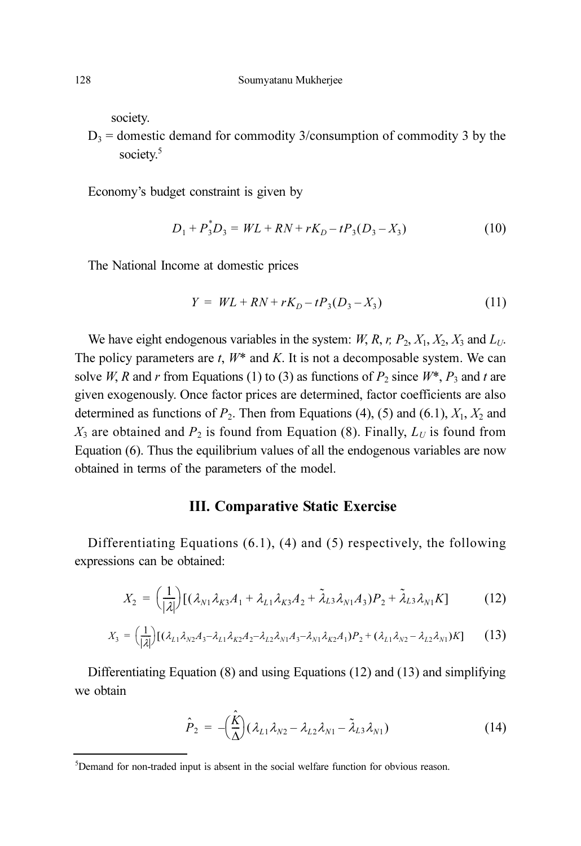society.

 $D_3$  = domestic demand for commodity 3/consumption of commodity 3 by the society.<sup>5</sup>

Economy's budget constraint is given by

$$
D_1 + P_3^* D_3 = WL + RN + rK_D - tP_3(D_3 - X_3)
$$
\n(10)

The National Income at domestic prices

$$
Y = WL + RN + rK_D - tP_3(D_3 - X_3)
$$
 (11)

We have eight endogenous variables in the system: W, R, r,  $P_2$ ,  $X_1$ ,  $X_2$ ,  $X_3$  and  $L_U$ . The policy parameters are  $t$ ,  $W^*$  and  $K$ . It is not a decomposable system. We can solve W, R and r from Equations (1) to (3) as functions of  $P_2$  since  $W^*$ ,  $P_3$  and t are given exogenously. Once factor prices are determined, factor coefficients are also determined as functions of  $P_2$ . Then from Equations (4), (5) and (6.1),  $X_1, X_2$  and  $X_3$  are obtained and  $P_2$  is found from Equation (8). Finally,  $L_U$  is found from Equation (6). Thus the equilibrium values of all the endogenous variables are now obtained in terms of the parameters of the model.

# III. Comparative Static Exercise

Differentiating Equations (6.1), (4) and (5) respectively, the following expressions can be obtained:

$$
X_2 = \left(\frac{1}{|\lambda|}\right) \left[ (\lambda_{N1} \lambda_{K3} A_1 + \lambda_{L1} \lambda_{K3} A_2 + \tilde{\lambda}_{L3} \lambda_{N1} A_3) P_2 + \tilde{\lambda}_{L3} \lambda_{N1} K \right] \tag{12}
$$

$$
X_3 = \left(\frac{1}{|\lambda|}\right) \left[ (\lambda_{L1} \lambda_{N2} A_3 - \lambda_{L1} \lambda_{K2} A_2 - \lambda_{L2} \lambda_{N1} A_3 - \lambda_{N1} \lambda_{K2} A_1) P_2 + (\lambda_{L1} \lambda_{N2} - \lambda_{L2} \lambda_{N1}) K \right] \tag{13}
$$

Differentiating Equation (8) and using Equations (12) and (13) and simplifying we obtain

$$
\hat{P}_2 = -\left(\frac{\hat{K}}{\Delta}\right)(\lambda_{L1}\lambda_{N2} - \lambda_{L2}\lambda_{N1} - \tilde{\lambda}_{L3}\lambda_{N1})
$$
\n(14)

<sup>&</sup>lt;sup>5</sup>Demand for non-traded input is absent in the social welfare function for obvious reason.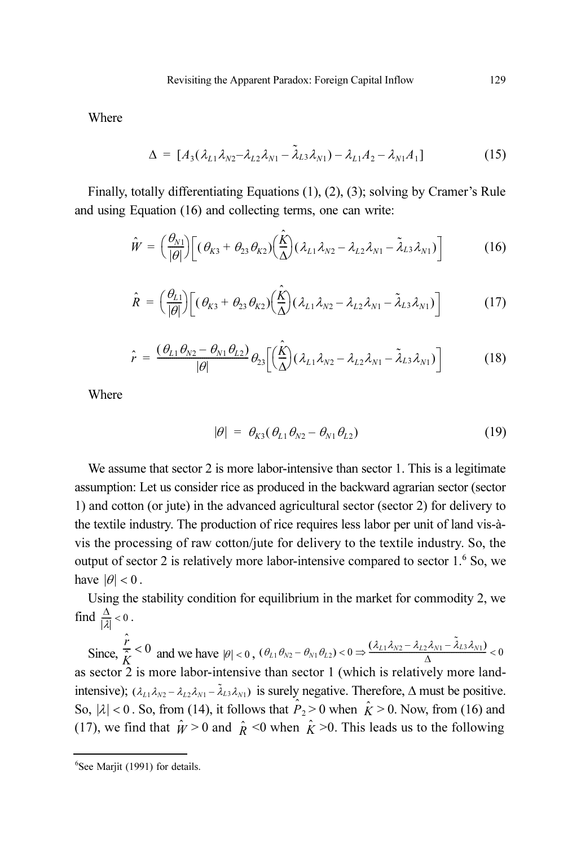Where

$$
\Delta = [A_3(\lambda_{L1}\lambda_{N2} - \lambda_{L2}\lambda_{N1} - \tilde{\lambda}_{L3}\lambda_{N1}) - \lambda_{L1}A_2 - \lambda_{N1}A_1]
$$
 (15)

Finally, totally differentiating Equations (1), (2), (3); solving by Cramer's Rule and using Equation (16) and collecting terms, one can write:

$$
\hat{W} = \left(\frac{\theta_{N1}}{|\theta|}\right) \left[ \left(\theta_{K3} + \theta_{23} \theta_{K2}\right) \left(\frac{\hat{K}}{\Delta}\right) \left(\lambda_{L1} \lambda_{N2} - \lambda_{L2} \lambda_{N1} - \tilde{\lambda}_{L3} \lambda_{N1}\right) \right]
$$
(16)

$$
\hat{R} = \left(\frac{\theta_{L1}}{|\theta|}\right) \left[ (\theta_{K3} + \theta_{23} \theta_{K2}) \left(\frac{\hat{K}}{\Delta}\right) (\lambda_{L1} \lambda_{N2} - \lambda_{L2} \lambda_{N1} - \tilde{\lambda}_{L3} \lambda_{N1}) \right]
$$
(17)

$$
\hat{r} = \frac{(\theta_{L1}\theta_{N2} - \theta_{N1}\theta_{L2})}{|\theta|} \theta_{23} \left[ \left(\frac{\hat{K}}{\Delta}\right) (\lambda_{L1}\lambda_{N2} - \lambda_{L2}\lambda_{N1} - \tilde{\lambda}_{L3}\lambda_{N1}) \right]
$$
(18)

Where

$$
|\theta| = \theta_{K3}(\theta_{L1}\theta_{N2} - \theta_{N1}\theta_{L2})
$$
\n(19)

We assume that sector 2 is more labor-intensive than sector 1. This is a legitimate assumption: Let us consider rice as produced in the backward agrarian sector (sector 1) and cotton (or jute) in the advanced agricultural sector (sector 2) for delivery to the textile industry. The production of rice requires less labor per unit of land vis-àvis the processing of raw cotton/jute for delivery to the textile industry. So, the output of sector 2 is relatively more labor-intensive compared to sector  $1<sup>6</sup>$  So, we have  $|\theta| < 0$ .

Using the stability condition for equilibrium in the market for commodity 2, we find  $\frac{\Delta}{\Delta} < 0$ .  $\frac{\Delta}{|\lambda|}$  < 0

Since,  $\frac{1}{\gamma}$  < 0 and we have  $|\theta|$  < 0, as sector  $\overline{2}$  is more labor-intensive than sector 1 (which is relatively more landintensive);  $(\lambda_{L1}\lambda_{N2} - \lambda_{L2}\lambda_{N1} - \tilde{\lambda}_{L3}\lambda_{N1})$  is surely negative. Therefore,  $\Delta$  must be positive. So,  $|\lambda| < 0$ . So, from (14), it follows that  $P_2 > 0$  when  $\hat{K} > 0$ . Now, from (16) and (17), we find that  $\hat{w} > 0$  and  $\hat{R} < 0$  when  $\hat{K} > 0$ . This leads us to the following r ˆ  $\frac{r}{K}$  < 0 and we have  $|\theta|$  < 0,  $(\theta_{L1}\theta_{N2} - \theta_{N1}\theta_{L2})$  < 0  $\Rightarrow$   $\frac{(\lambda_{L1}\lambda_{N2} - \lambda_{L2}\lambda_{N1} - \lambda_{L3}\lambda_{N1})}{\Delta}$  $< 0 \Rightarrow \frac{(v_{L1}v_{N2} - v_{L2}v_{N1} - v_{L3}v_{N1})}{\Delta} < 0$  $2 > 0$  when  $\hat{K}$ 

<sup>&</sup>lt;sup>6</sup>See Marjit (1991) for details.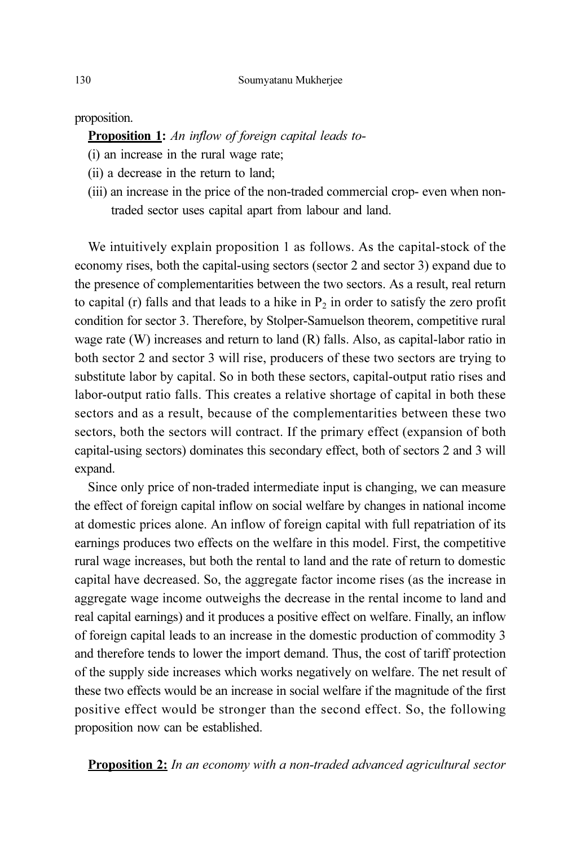proposition.

#### Proposition 1: An inflow of foreign capital leads to-

- (i) an increase in the rural wage rate;
- (ii) a decrease in the return to land;
- (iii) an increase in the price of the non-traded commercial crop- even when nontraded sector uses capital apart from labour and land.

We intuitively explain proposition 1 as follows. As the capital-stock of the economy rises, both the capital-using sectors (sector 2 and sector 3) expand due to the presence of complementarities between the two sectors. As a result, real return to capital (r) falls and that leads to a hike in  $P_2$  in order to satisfy the zero profit condition for sector 3. Therefore, by Stolper-Samuelson theorem, competitive rural wage rate (W) increases and return to land (R) falls. Also, as capital-labor ratio in both sector 2 and sector 3 will rise, producers of these two sectors are trying to substitute labor by capital. So in both these sectors, capital-output ratio rises and labor-output ratio falls. This creates a relative shortage of capital in both these sectors and as a result, because of the complementarities between these two sectors, both the sectors will contract. If the primary effect (expansion of both capital-using sectors) dominates this secondary effect, both of sectors 2 and 3 will expand.

Since only price of non-traded intermediate input is changing, we can measure the effect of foreign capital inflow on social welfare by changes in national income at domestic prices alone. An inflow of foreign capital with full repatriation of its earnings produces two effects on the welfare in this model. First, the competitive rural wage increases, but both the rental to land and the rate of return to domestic capital have decreased. So, the aggregate factor income rises (as the increase in aggregate wage income outweighs the decrease in the rental income to land and real capital earnings) and it produces a positive effect on welfare. Finally, an inflow of foreign capital leads to an increase in the domestic production of commodity 3 and therefore tends to lower the import demand. Thus, the cost of tariff protection of the supply side increases which works negatively on welfare. The net result of these two effects would be an increase in social welfare if the magnitude of the first positive effect would be stronger than the second effect. So, the following proposition now can be established.

**Proposition 2:** In an economy with a non-traded advanced agricultural sector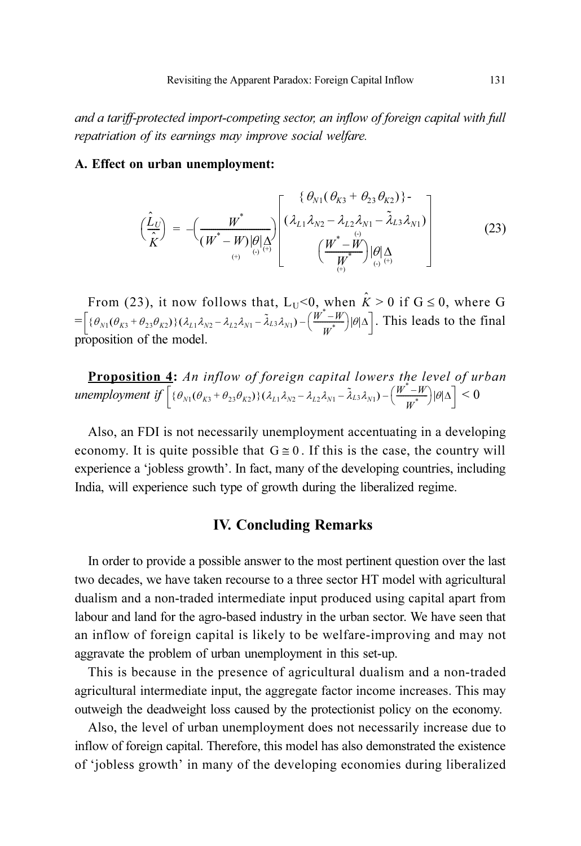and a tariff-protected import-competing sector, an inflow of foreign capital with full repatriation of its earnings may improve social welfare.

#### A. Effect on urban unemployment:

$$
\left(\frac{\hat{L}_U}{\hat{K}}\right) = -\left(\frac{W^*}{(W^* - W)\vert\theta\vert\Delta}\right) \left[\frac{\lbrace \theta_{N1}(\theta_{K3} + \theta_{23}\theta_{K2}) \rbrace - \lbrace \theta_{N2}(\theta_{K3} + \theta_{23}\theta_{K2}) \rbrace - \lbrace \theta_{N1}(\theta_{K3} + \theta_{23}\theta_{K2}) \rbrace - \lbrace \theta_{N1}(\theta_{K3} + \theta_{23}\theta_{K2}) \rbrace - \lbrace \theta_{N1}(\theta_{K3} + \theta_{23}\theta_{K2}) \rbrace - \lbrace \theta_{N1}(\theta_{K3} + \theta_{23}\theta_{K2}) \rbrace - \lbrace \theta_{N1}(\theta_{K3} + \theta_{23}\theta_{K2}) \rbrace - \lbrace \theta_{N1}(\theta_{K3} + \theta_{23}\theta_{K2}) \rbrace - \lbrace \theta_{N1}(\theta_{K3} + \theta_{23}\theta_{K2}) \rbrace - \lbrace \theta_{N1}(\theta_{K3} + \theta_{23}\theta_{K2}) \rbrace - \lbrace \theta_{N1}(\theta_{K3} + \theta_{23}\theta_{K2}) \rbrace - \lbrace \theta_{N1}(\theta_{K3} + \theta_{23}\theta_{K2}) \rbrace - \lbrace \theta_{N1}(\theta_{K3} + \theta_{23}\theta_{K2}) \rbrace - \lbrace \theta_{N1}(\theta_{K3} + \theta_{23}\theta_{K2}) \rbrace - \lbrace \theta_{N1}(\theta_{K3} + \theta_{23}\theta_{K2}) \rbrace - \lbrace \theta_{N1}(\theta_{K3} + \theta_{23}\theta_{K2}) \rbrace - \lbrace \theta_{N1}(\theta_{K3} + \theta_{23}\theta_{K2}) \rbrace - \lbrace \theta_{N1}(\theta_{K3} + \theta_{23}\theta_{K2}) \rbrace - \lbrace \theta_{N1}(\theta_{K3} + \theta_{23}\theta_{K2}) \rbrace - \lbrace \theta_{N1}(\theta_{K3} + \theta_{23}\theta_{K2}) \rbrace - \lbrace \theta_{N1}(\theta_{K3} + \theta_{23}\theta_{K2}) \rbrace - \lbrace \theta_{N1}(\theta_{K3} + \theta_{23}\theta_{K2}) \rbrace - \lbrace \theta_{N1}(\theta_{K3} + \theta_{23}\theta_{K2}) \rbrace - \lbrace \theta_{N1}(\theta_{K3} + \theta_{23}\theta_{K2}) \rbrace - \lbrace \theta_{N1}(\theta_{K3
$$

From (23), it now follows that,  $L_U<0$ , when  $\hat{K}>0$  if  $G\leq 0$ , where G  $=\left[\{\theta_{N1}(\theta_{K3}+\theta_{23}\theta_{K2})\}(\lambda_{L1}\lambda_{N2}-\lambda_{L2}\lambda_{N1}-\tilde{\lambda}_{L3}\lambda_{N1})-(\frac{W^*-W}{W}\right]|\theta|\Delta\right]$ . This leads to the final proposition of the model.

Proposition 4: An inflow of foreign capital lowers the level of urban unemployment if  $\left[\frac{\partial_{N1}(\theta_{K3}+\theta_{23}\theta_{K2})\cdot(\lambda_{L1}\lambda_{N2}-\lambda_{L2}\lambda_{N1}-\tilde{\lambda}_{L3}\lambda_{N1})-\left(\frac{W^*-W}{W^*}\right)|\theta|\Delta\right]<0$ 

Also, an FDI is not necessarily unemployment accentuating in a developing economy. It is quite possible that  $G \cong 0$ . If this is the case, the country will experience a 'jobless growth'. In fact, many of the developing countries, including India, will experience such type of growth during the liberalized regime.

#### IV. Concluding Remarks

In order to provide a possible answer to the most pertinent question over the last two decades, we have taken recourse to a three sector HT model with agricultural dualism and a non-traded intermediate input produced using capital apart from labour and land for the agro-based industry in the urban sector. We have seen that an inflow of foreign capital is likely to be welfare-improving and may not aggravate the problem of urban unemployment in this set-up.

This is because in the presence of agricultural dualism and a non-traded agricultural intermediate input, the aggregate factor income increases. This may outweigh the deadweight loss caused by the protectionist policy on the economy.

Also, the level of urban unemployment does not necessarily increase due to inflow of foreign capital. Therefore, this model has also demonstrated the existence of 'jobless growth' in many of the developing economies during liberalized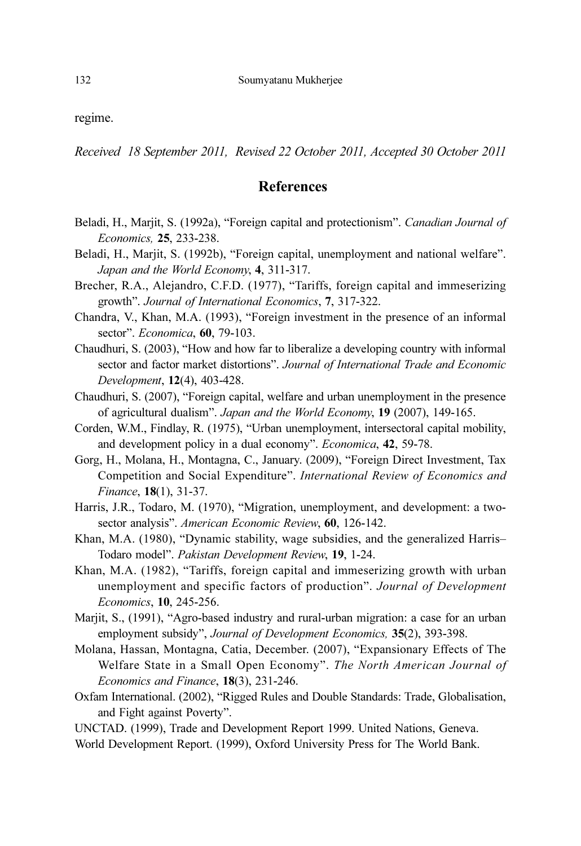regime.

Received 18 September 2011, Revised 22 October 2011, Accepted 30 October 2011

#### References

- Beladi, H., Marjit, S. (1992a), "Foreign capital and protectionism". Canadian Journal of Economics, 25, 233-238.
- Beladi, H., Marjit, S. (1992b), "Foreign capital, unemployment and national welfare". Japan and the World Economy, 4, 311-317.
- Brecher, R.A., Alejandro, C.F.D. (1977), "Tariffs, foreign capital and immeserizing growth". Journal of International Economics, 7, 317-322.
- Chandra, V., Khan, M.A. (1993), "Foreign investment in the presence of an informal sector". Economica, **60**, 79-103.
- Chaudhuri, S. (2003), "How and how far to liberalize a developing country with informal sector and factor market distortions". Journal of International Trade and Economic Development, 12(4), 403-428.
- Chaudhuri, S. (2007), "Foreign capital, welfare and urban unemployment in the presence of agricultural dualism". Japan and the World Economy, 19 (2007), 149-165.
- Corden, W.M., Findlay, R. (1975), "Urban unemployment, intersectoral capital mobility, and development policy in a dual economy". Economica, 42, 59-78.
- Gorg, H., Molana, H., Montagna, C., January. (2009), "Foreign Direct Investment, Tax Competition and Social Expenditure". International Review of Economics and Finance, 18(1), 31-37.
- Harris, J.R., Todaro, M. (1970), "Migration, unemployment, and development: a twosector analysis". American Economic Review, 60, 126-142.
- Khan, M.A. (1980), "Dynamic stability, wage subsidies, and the generalized Harris– Todaro model". Pakistan Development Review, 19, 1-24.
- Khan, M.A. (1982), "Tariffs, foreign capital and immeserizing growth with urban unemployment and specific factors of production". Journal of Development Economics, 10, 245-256.
- Marjit, S., (1991), "Agro-based industry and rural-urban migration: a case for an urban employment subsidy", Journal of Development Economics, 35(2), 393-398.
- Molana, Hassan, Montagna, Catia, December. (2007), "Expansionary Effects of The Welfare State in a Small Open Economy". The North American Journal of Economics and Finance, 18(3), 231-246.
- Oxfam International. (2002), "Rigged Rules and Double Standards: Trade, Globalisation, and Fight against Poverty".
- UNCTAD. (1999), Trade and Development Report 1999. United Nations, Geneva.
- World Development Report. (1999), Oxford University Press for The World Bank.